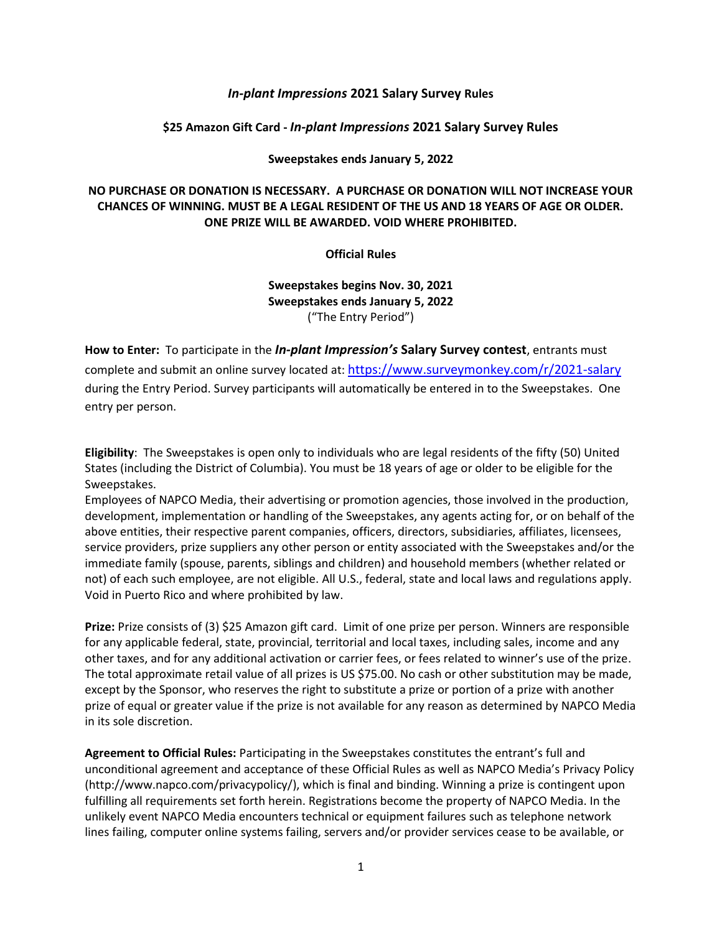## *In-plant Impressions* **2021 Salary Survey Rules**

## **\$25 Amazon Gift Card -** *In-plant Impressions* **2021 Salary Survey Rules**

## **Sweepstakes ends January 5, 2022**

## **NO PURCHASE OR DONATION IS NECESSARY. A PURCHASE OR DONATION WILL NOT INCREASE YOUR CHANCES OF WINNING. MUST BE A LEGAL RESIDENT OF THE US AND 18 YEARS OF AGE OR OLDER. ONE PRIZE WILL BE AWARDED. VOID WHERE PROHIBITED.**

**Official Rules**

**Sweepstakes begins Nov. 30, 2021 Sweepstakes ends January 5, 2022** ("The Entry Period")

**How to Enter:** To participate in the *In-plant Impression's* **Salary Survey contest**, entrants must complete and submit an online survey located at: <https://www.surveymonkey.com/r/2021-salary> during the Entry Period. Survey participants will automatically be entered in to the Sweepstakes. One entry per person.

**Eligibility**: The Sweepstakes is open only to individuals who are legal residents of the fifty (50) United States (including the District of Columbia). You must be 18 years of age or older to be eligible for the Sweepstakes.

Employees of NAPCO Media, their advertising or promotion agencies, those involved in the production, development, implementation or handling of the Sweepstakes, any agents acting for, or on behalf of the above entities, their respective parent companies, officers, directors, subsidiaries, affiliates, licensees, service providers, prize suppliers any other person or entity associated with the Sweepstakes and/or the immediate family (spouse, parents, siblings and children) and household members (whether related or not) of each such employee, are not eligible. All U.S., federal, state and local laws and regulations apply. Void in Puerto Rico and where prohibited by law.

**Prize:** Prize consists of (3) \$25 Amazon gift card. Limit of one prize per person. Winners are responsible for any applicable federal, state, provincial, territorial and local taxes, including sales, income and any other taxes, and for any additional activation or carrier fees, or fees related to winner's use of the prize. The total approximate retail value of all prizes is US \$75.00. No cash or other substitution may be made, except by the Sponsor, who reserves the right to substitute a prize or portion of a prize with another prize of equal or greater value if the prize is not available for any reason as determined by NAPCO Media in its sole discretion.

**Agreement to Official Rules:** Participating in the Sweepstakes constitutes the entrant's full and unconditional agreement and acceptance of these Official Rules as well as NAPCO Media's Privacy Policy (http://www.napco.com/privacypolicy/), which is final and binding. Winning a prize is contingent upon fulfilling all requirements set forth herein. Registrations become the property of NAPCO Media. In the unlikely event NAPCO Media encounters technical or equipment failures such as telephone network lines failing, computer online systems failing, servers and/or provider services cease to be available, or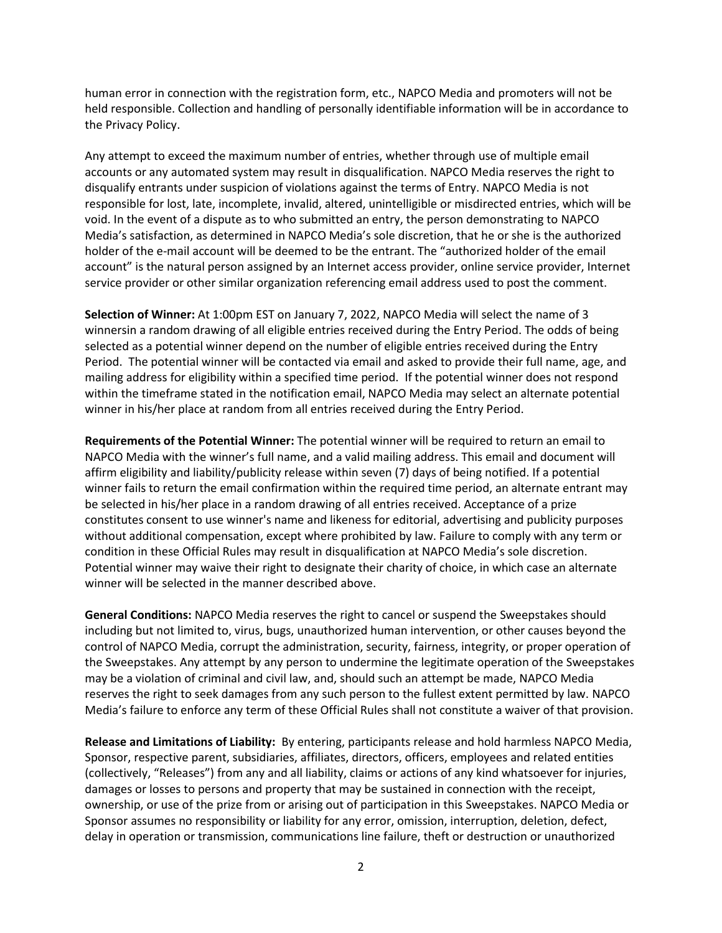human error in connection with the registration form, etc., NAPCO Media and promoters will not be held responsible. Collection and handling of personally identifiable information will be in accordance to the Privacy Policy.

Any attempt to exceed the maximum number of entries, whether through use of multiple email accounts or any automated system may result in disqualification. NAPCO Media reserves the right to disqualify entrants under suspicion of violations against the terms of Entry. NAPCO Media is not responsible for lost, late, incomplete, invalid, altered, unintelligible or misdirected entries, which will be void. In the event of a dispute as to who submitted an entry, the person demonstrating to NAPCO Media's satisfaction, as determined in NAPCO Media's sole discretion, that he or she is the authorized holder of the e-mail account will be deemed to be the entrant. The "authorized holder of the email account" is the natural person assigned by an Internet access provider, online service provider, Internet service provider or other similar organization referencing email address used to post the comment.

**Selection of Winner:** At 1:00pm EST on January 7, 2022, NAPCO Media will select the name of 3 winnersin a random drawing of all eligible entries received during the Entry Period. The odds of being selected as a potential winner depend on the number of eligible entries received during the Entry Period. The potential winner will be contacted via email and asked to provide their full name, age, and mailing address for eligibility within a specified time period. If the potential winner does not respond within the timeframe stated in the notification email, NAPCO Media may select an alternate potential winner in his/her place at random from all entries received during the Entry Period.

**Requirements of the Potential Winner:** The potential winner will be required to return an email to NAPCO Media with the winner's full name, and a valid mailing address. This email and document will affirm eligibility and liability/publicity release within seven (7) days of being notified. If a potential winner fails to return the email confirmation within the required time period, an alternate entrant may be selected in his/her place in a random drawing of all entries received. Acceptance of a prize constitutes consent to use winner's name and likeness for editorial, advertising and publicity purposes without additional compensation, except where prohibited by law. Failure to comply with any term or condition in these Official Rules may result in disqualification at NAPCO Media's sole discretion. Potential winner may waive their right to designate their charity of choice, in which case an alternate winner will be selected in the manner described above.

**General Conditions:** NAPCO Media reserves the right to cancel or suspend the Sweepstakes should including but not limited to, virus, bugs, unauthorized human intervention, or other causes beyond the control of NAPCO Media, corrupt the administration, security, fairness, integrity, or proper operation of the Sweepstakes. Any attempt by any person to undermine the legitimate operation of the Sweepstakes may be a violation of criminal and civil law, and, should such an attempt be made, NAPCO Media reserves the right to seek damages from any such person to the fullest extent permitted by law. NAPCO Media's failure to enforce any term of these Official Rules shall not constitute a waiver of that provision.

**Release and Limitations of Liability:** By entering, participants release and hold harmless NAPCO Media, Sponsor, respective parent, subsidiaries, affiliates, directors, officers, employees and related entities (collectively, "Releases") from any and all liability, claims or actions of any kind whatsoever for injuries, damages or losses to persons and property that may be sustained in connection with the receipt, ownership, or use of the prize from or arising out of participation in this Sweepstakes. NAPCO Media or Sponsor assumes no responsibility or liability for any error, omission, interruption, deletion, defect, delay in operation or transmission, communications line failure, theft or destruction or unauthorized